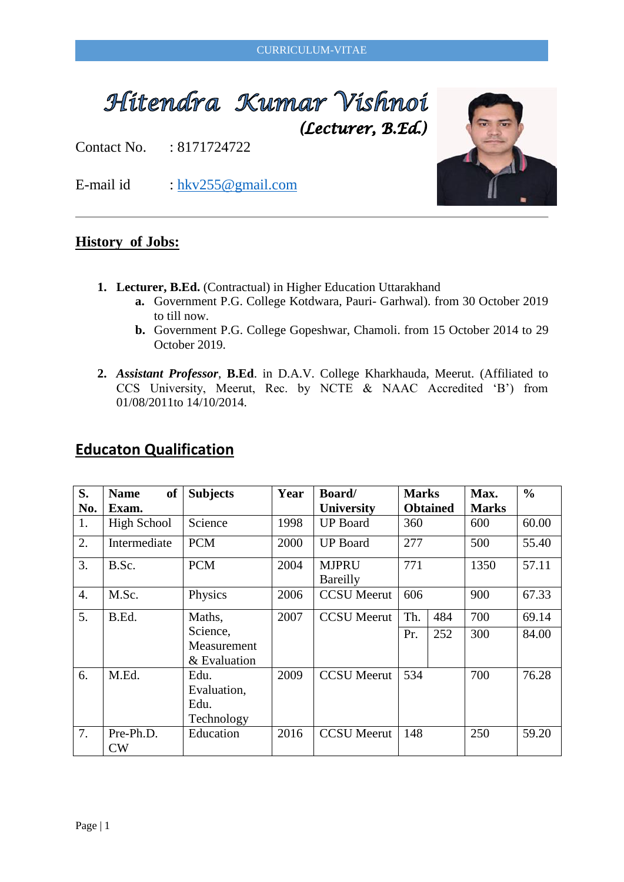#### CURRICULUM-VITAE

# Hitendra Kumar Vishnoi (Lecturer, B.Ed.)

Contact No. : 8171724722

E-mail id : [hkv255@gmail.com](mailto:hkv255@gmail.com)

#### **History of Jobs:**

- **1. Lecturer, B.Ed.** (Contractual) in Higher Education Uttarakhand
	- **a.** Government P.G. College Kotdwara, Pauri- Garhwal). from 30 October 2019 to till now.
	- **b.** Government P.G. College Gopeshwar, Chamoli. from 15 October 2014 to 29 October 2019.
- **2.** *Assistant Professor*, **B.Ed**. in D.A.V. College Kharkhauda, Meerut. (Affiliated to CCS University, Meerut, Rec. by NCTE & NAAC Accredited 'B') from 01/08/2011to 14/10/2014.

| S.               | <b>of</b><br><b>Name</b> | <b>Subjects</b>                           | Year | <b>Board/</b>            | <b>Marks</b> |                 | Max.         | $\frac{0}{0}$ |
|------------------|--------------------------|-------------------------------------------|------|--------------------------|--------------|-----------------|--------------|---------------|
| No.              | Exam.                    |                                           |      | <b>University</b>        |              | <b>Obtained</b> | <b>Marks</b> |               |
| 1.               | <b>High School</b>       | Science                                   | 1998 | <b>UP</b> Board          | 360          |                 | 600          | 60.00         |
| 2.               | Intermediate             | <b>PCM</b>                                | 2000 | <b>UP</b> Board          | 277          |                 | 500          | 55.40         |
| 3.               | B.Sc.                    | <b>PCM</b>                                | 2004 | <b>MJPRU</b><br>Bareilly | 771          |                 | 1350         | 57.11         |
| $\overline{4}$ . | M.Sc.                    | Physics                                   | 2006 | <b>CCSU</b> Meerut       | 606          |                 | 900          | 67.33         |
| 5.               | B.Ed.                    | Maths,                                    | 2007 | <b>CCSU</b> Meerut       | Th.          | 484             | 700          | 69.14         |
|                  |                          | Science,<br>Measurement<br>& Evaluation   |      |                          | Pr.          | 252             | 300          | 84.00         |
| 6.               | M.Ed.                    | Edu.<br>Evaluation,<br>Edu.<br>Technology | 2009 | <b>CCSU</b> Meerut       | 534          |                 | 700          | 76.28         |
| 7.               | Pre-Ph.D.<br>CW          | Education                                 | 2016 | <b>CCSU</b> Meerut       | 148          |                 | 250          | 59.20         |

## **Educaton Qualification**

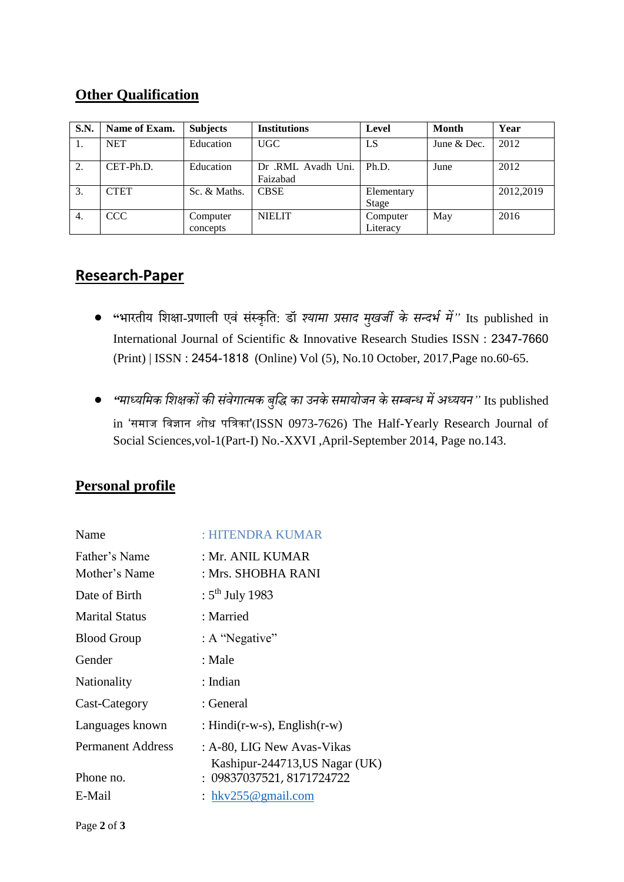#### **Other Qualification**

| <b>S.N.</b> | Name of Exam. | <b>Subjects</b>      | <b>Institutions</b>            | Level                | Month       | Year      |
|-------------|---------------|----------------------|--------------------------------|----------------------|-------------|-----------|
| 1.          | <b>NET</b>    | Education            | <b>UGC</b>                     | LS                   | June & Dec. | 2012      |
| 2.          | CET-Ph.D.     | Education            | Dr .RML Avadh Uni.<br>Faizabad | Ph.D.                | June        | 2012      |
| 3.          | <b>CTET</b>   | Sc. & Maths.         | <b>CBSE</b>                    | Elementary<br>Stage  |             | 2012,2019 |
| 4.          | CCC           | Computer<br>concepts | <b>NIELIT</b>                  | Computer<br>Literacy | May         | 2016      |

### **Research-Paper**

- **"**भारतीय शिक्षा-प्रणाली एवं संस्कृशत: डॉ *श्यामा प्रसाद मखु र्जी के सन्दर्भ में"* Its published in International Journal of Scientific & Innovative Research Studies ISSN : 2347-7660 (Print) | ISSN : 2454-1818 (Online) Vol (5), No.10 October, 2017,Page no.60-65.
- *"माध्यममक मिक्षकों की संवेगात्मक बमुि का उनके समायोर्जन के सम्बन्ध मेंअध्ययन"* Its published in 'समाज विज्ञान शोध पविका'(ISSN 0973-7626) The Half-Yearly Research Journal of Social Sciences,vol-1(Part-I) No.-XXVI ,April-September 2014, Page no.143.

### **Personal profile**

| Name                           | : HITENDRA KUMAR                                             |
|--------------------------------|--------------------------------------------------------------|
| Father's Name<br>Mother's Name | : Mr. ANIL KUMAR<br>: Mrs. SHOBHA RANI                       |
| Date of Birth                  | : $5^{th}$ July 1983                                         |
| <b>Marital Status</b>          | : Married                                                    |
| <b>Blood Group</b>             | : A "Negative"                                               |
| Gender                         | : Male                                                       |
| Nationality                    | : Indian                                                     |
| Cast-Category                  | : General                                                    |
| Languages known                | : Hindi(r-w-s), $English(r-w)$                               |
| <b>Permanent Address</b>       | : A-80, LIG New Avas-Vikas<br>Kashipur-244713, US Nagar (UK) |
| Phone no.                      | : 09837037521, 8171724722                                    |
| E-Mail                         | : $hkv255@gmail.com$                                         |
|                                |                                                              |